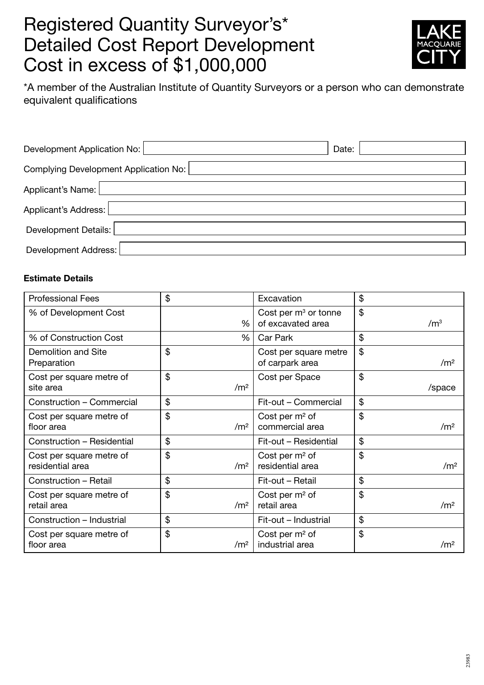## Registered Quantity Surveyor's\* Detailed Cost Report Development Cost in excess of \$1,000,000



\*A member of the Australian Institute of Quantity Surveyors or a person who can demonstrate equivalent qualifications

| Development Application No:           | Date: |
|---------------------------------------|-------|
| Complying Development Application No: |       |
| Applicant's Name:                     |       |
| Applicant's Address:                  |       |
| Development Details:                  |       |
| Development Address:                  |       |

## Estimate Details

| <b>Professional Fees</b>                     | \$                    | Excavation                                  | \$                               |
|----------------------------------------------|-----------------------|---------------------------------------------|----------------------------------|
| % of Development Cost                        | %                     | Cost per $m3$ or tonne<br>of excavated area | $\mathfrak{L}$<br>$\mathsf{M}^3$ |
| % of Construction Cost                       | %                     | Car Park                                    | \$                               |
| Demolition and Site<br>Preparation           | \$                    | Cost per square metre<br>of carpark area    | \$<br>/m <sup>2</sup>            |
| Cost per square metre of<br>site area        | \$<br>/m <sup>2</sup> | Cost per Space                              | \$<br>/space                     |
| Construction - Commercial                    | \$                    | Fit-out - Commercial                        | \$                               |
| Cost per square metre of<br>floor area       | \$<br>/m <sup>2</sup> | Cost per $m2$ of<br>commercial area         | \$<br>$\rm /m2$                  |
| Construction - Residential                   | \$                    | Fit-out - Residential                       | \$                               |
| Cost per square metre of<br>residential area | \$<br>/m <sup>2</sup> | Cost per $m2$ of<br>residential area        | \$<br>/m <sup>2</sup>            |
| Construction - Retail                        | \$                    | Fit-out - Retail                            | \$                               |
| Cost per square metre of<br>retail area      | \$<br>/m <sup>2</sup> | Cost per m <sup>2</sup> of<br>retail area   | \$<br>/m <sup>2</sup>            |
| Construction - Industrial                    | \$                    | Fit-out - Industrial                        | \$                               |
| Cost per square metre of<br>floor area       | \$<br>$\rm /m^2$      | Cost per $m2$ of<br>industrial area         | \$<br>$\rm /m2$                  |